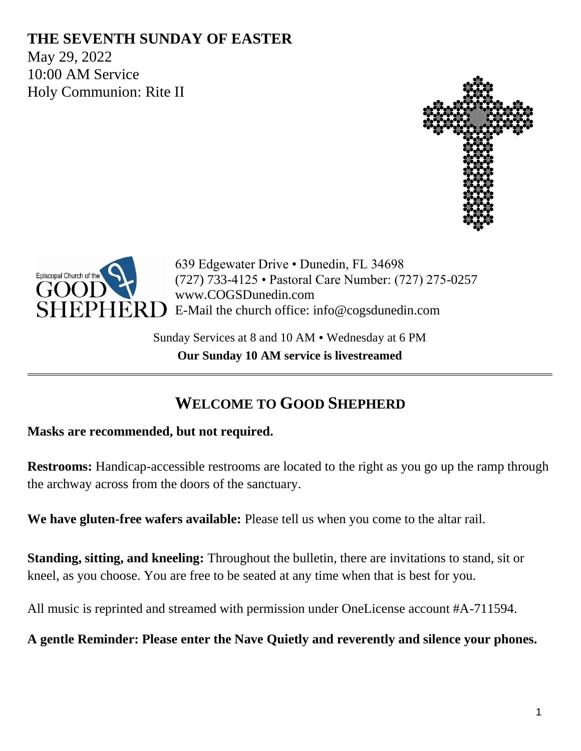## **THE SEVENTH SUNDAY OF EASTER**

May 29, 2022 10:00 AM Service Holy Communion: Rite II





639 Edgewater Drive • Dunedin, FL 34698 (727) 733-4125 • Pastoral Care Number: (727) 275-0257 www.COGSDunedin.com E-Mail the church office: info@cogsdunedin.com

Sunday Services at 8 and 10 AM • Wednesday at 6 PM **Our Sunday 10 AM service is livestreamed**

# **WELCOME TO GOOD SHEPHERD**

#### **Masks are recommended, but not required.**

**Restrooms:** Handicap-accessible restrooms are located to the right as you go up the ramp through the archway across from the doors of the sanctuary.

**We have gluten-free wafers available:** Please tell us when you come to the altar rail.

**Standing, sitting, and kneeling:** Throughout the bulletin, there are invitations to stand, sit or kneel, as you choose. You are free to be seated at any time when that is best for you.

All music is reprinted and streamed with permission under OneLicense account #A-711594.

**A gentle Reminder: Please enter the Nave Quietly and reverently and silence your phones.**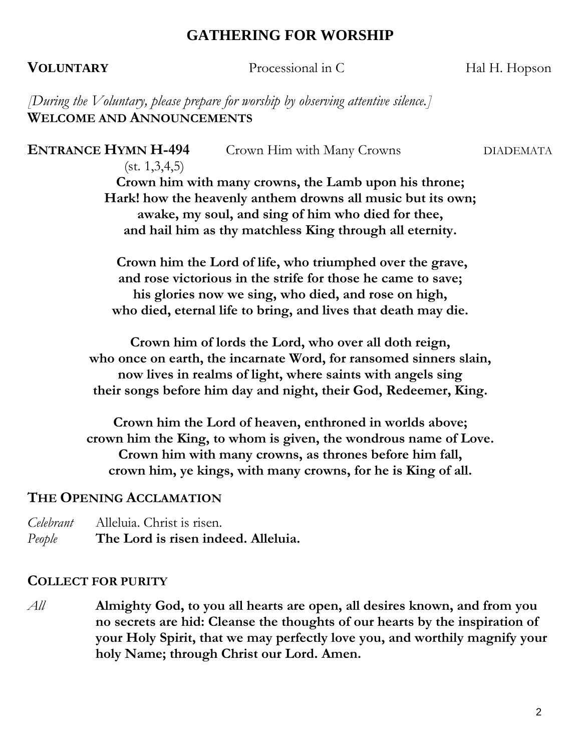## **GATHERING FOR WORSHIP**

**VOLUNTARY** Processional in C Hal H. Hopson

*[During the Voluntary, please prepare for worship by observing attentive silence.]* **WELCOME AND ANNOUNCEMENTS**

**ENTRANCE HYMN H-494** Crown Him with Many Crowns DIADEMATA

 $(st. 1, 3, 4, 5)$ **Crown him with many crowns, the Lamb upon his throne; Hark! how the heavenly anthem drowns all music but its own; awake, my soul, and sing of him who died for thee, and hail him as thy matchless King through all eternity.**

**Crown him the Lord of life, who triumphed over the grave, and rose victorious in the strife for those he came to save; his glories now we sing, who died, and rose on high, who died, eternal life to bring, and lives that death may die.**

**Crown him of lords the Lord, who over all doth reign, who once on earth, the incarnate Word, for ransomed sinners slain, now lives in realms of light, where saints with angels sing their songs before him day and night, their God, Redeemer, King.**

**Crown him the Lord of heaven, enthroned in worlds above; crown him the King, to whom is given, the wondrous name of Love. Crown him with many crowns, as thrones before him fall, crown him, ye kings, with many crowns, for he is King of all.**

#### **THE OPENING ACCLAMATION**

*Celebrant* Alleluia. Christ is risen. *People* **The Lord is risen indeed. Alleluia.**

#### **COLLECT FOR PURITY**

*All* **Almighty God, to you all hearts are open, all desires known, and from you no secrets are hid: Cleanse the thoughts of our hearts by the inspiration of your Holy Spirit, that we may perfectly love you, and worthily magnify your holy Name; through Christ our Lord. Amen.**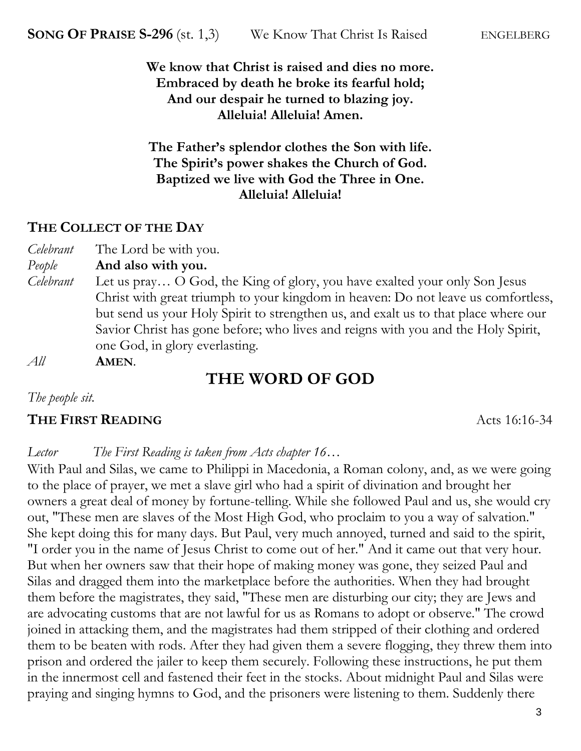#### **We know that Christ is raised and dies no more. Embraced by death he broke its fearful hold; And our despair he turned to blazing joy. Alleluia! Alleluia! Amen.**

**The Father's splendor clothes the Son with life. The Spirit's power shakes the Church of God. Baptized we live with God the Three in One. Alleluia! Alleluia!** 

#### **THE COLLECT OF THE DAY**

*Celebrant* The Lord be with you.

*People* **And also with you.**

*Celebrant* Let us pray… O God, the King of glory, you have exalted your only Son Jesus Christ with great triumph to your kingdom in heaven: Do not leave us comfortless, but send us your Holy Spirit to strengthen us, and exalt us to that place where our Savior Christ has gone before; who lives and reigns with you and the Holy Spirit, one God, in glory everlasting.

*All* **AMEN**.

# **THE WORD OF GOD**

*The people sit.*

#### **THE FIRST READING** Acts 16:16-34

*Lector The First Reading is taken from Acts chapter 16…*

With Paul and Silas, we came to Philippi in Macedonia, a Roman colony, and, as we were going to the place of prayer, we met a slave girl who had a spirit of divination and brought her owners a great deal of money by fortune-telling. While she followed Paul and us, she would cry out, "These men are slaves of the Most High God, who proclaim to you a way of salvation." She kept doing this for many days. But Paul, very much annoyed, turned and said to the spirit, "I order you in the name of Jesus Christ to come out of her." And it came out that very hour. But when her owners saw that their hope of making money was gone, they seized Paul and Silas and dragged them into the marketplace before the authorities. When they had brought them before the magistrates, they said, "These men are disturbing our city; they are Jews and are advocating customs that are not lawful for us as Romans to adopt or observe." The crowd joined in attacking them, and the magistrates had them stripped of their clothing and ordered them to be beaten with rods. After they had given them a severe flogging, they threw them into prison and ordered the jailer to keep them securely. Following these instructions, he put them in the innermost cell and fastened their feet in the stocks. About midnight Paul and Silas were praying and singing hymns to God, and the prisoners were listening to them. Suddenly there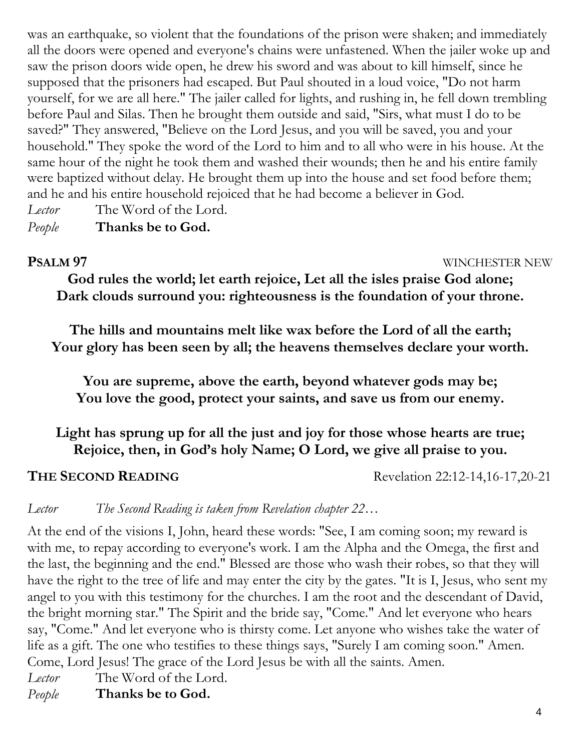was an earthquake, so violent that the foundations of the prison were shaken; and immediately all the doors were opened and everyone's chains were unfastened. When the jailer woke up and saw the prison doors wide open, he drew his sword and was about to kill himself, since he supposed that the prisoners had escaped. But Paul shouted in a loud voice, "Do not harm yourself, for we are all here." The jailer called for lights, and rushing in, he fell down trembling before Paul and Silas. Then he brought them outside and said, "Sirs, what must I do to be saved?" They answered, "Believe on the Lord Jesus, and you will be saved, you and your household." They spoke the word of the Lord to him and to all who were in his house. At the same hour of the night he took them and washed their wounds; then he and his entire family were baptized without delay. He brought them up into the house and set food before them; and he and his entire household rejoiced that he had become a believer in God. *Lector* The Word of the Lord.

*People* **Thanks be to God.**

#### **PSALM 97** WINCHESTER NEW

**God rules the world; let earth rejoice, Let all the isles praise God alone; Dark clouds surround you: righteousness is the foundation of your throne.**

**The hills and mountains melt like wax before the Lord of all the earth; Your glory has been seen by all; the heavens themselves declare your worth.**

**You are supreme, above the earth, beyond whatever gods may be; You love the good, protect your saints, and save us from our enemy.**

**Light has sprung up for all the just and joy for those whose hearts are true; Rejoice, then, in God's holy Name; O Lord, we give all praise to you.** 

**THE SECOND READING** Revelation 22:12-14,16-17,20-21

### *Lector The Second Reading is taken from Revelation chapter 22…*

At the end of the visions I, John, heard these words: "See, I am coming soon; my reward is with me, to repay according to everyone's work. I am the Alpha and the Omega, the first and the last, the beginning and the end." Blessed are those who wash their robes, so that they will have the right to the tree of life and may enter the city by the gates. "It is I, Jesus, who sent my angel to you with this testimony for the churches. I am the root and the descendant of David, the bright morning star." The Spirit and the bride say, "Come." And let everyone who hears say, "Come." And let everyone who is thirsty come. Let anyone who wishes take the water of life as a gift. The one who testifies to these things says, "Surely I am coming soon." Amen. Come, Lord Jesus! The grace of the Lord Jesus be with all the saints. Amen.

*Lector* The Word of the Lord.

*People* **Thanks be to God.**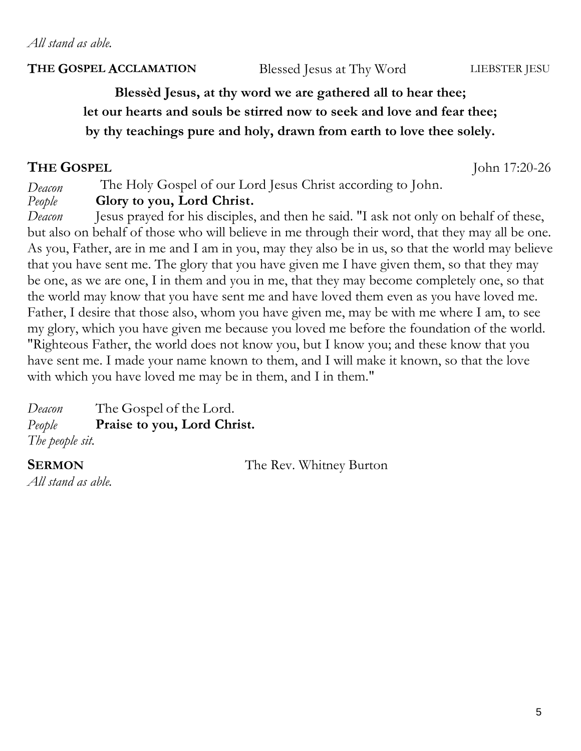### **THE GOSPEL ACCLAMATION** Blessed Jesus at Thy Word LIEBSTER JESU

# **Blessèd Jesus, at thy word we are gathered all to hear thee; let our hearts and souls be stirred now to seek and love and fear thee; by thy teachings pure and holy, drawn from earth to love thee solely.**

## **THE GOSPEL** John 17:20-26

*Deacon* The Holy Gospel of our Lord Jesus Christ according to John.<br>People **Glory to you, Lord Christ.** *People* **Glory to you, Lord Christ.**

*Deacon* Jesus prayed for his disciples, and then he said. "I ask not only on behalf of these, but also on behalf of those who will believe in me through their word, that they may all be one. As you, Father, are in me and I am in you, may they also be in us, so that the world may believe that you have sent me. The glory that you have given me I have given them, so that they may be one, as we are one, I in them and you in me, that they may become completely one, so that the world may know that you have sent me and have loved them even as you have loved me. Father, I desire that those also, whom you have given me, may be with me where I am, to see my glory, which you have given me because you loved me before the foundation of the world. "Righteous Father, the world does not know you, but I know you; and these know that you have sent me. I made your name known to them, and I will make it known, so that the love with which you have loved me may be in them, and I in them."

*Deacon* The Gospel of the Lord. *People* **Praise to you, Lord Christ.** *The people sit.*

*All stand as able.*

**SERMON** The Rev. Whitney Burton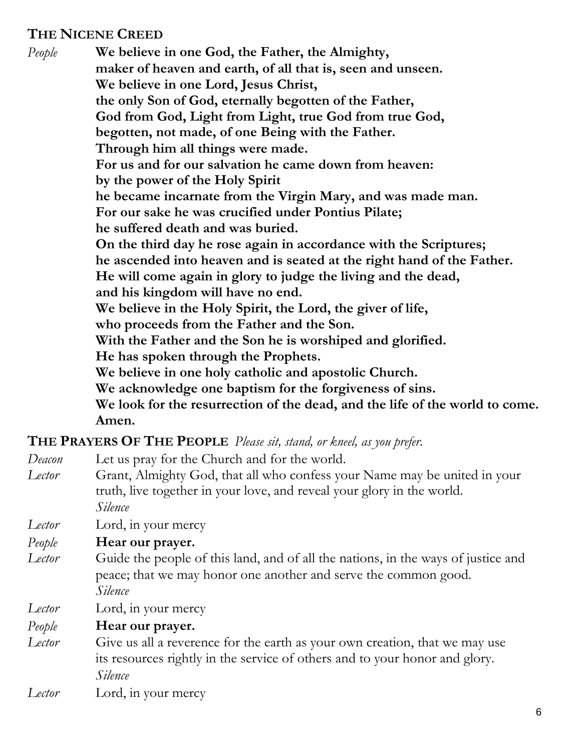### **THE NICENE CREED**

*People* **We believe in one God, the Father, the Almighty, maker of heaven and earth, of all that is, seen and unseen. We believe in one Lord, Jesus Christ, the only Son of God, eternally begotten of the Father, God from God, Light from Light, true God from true God, begotten, not made, of one Being with the Father. Through him all things were made. For us and for our salvation he came down from heaven: by the power of the Holy Spirit he became incarnate from the Virgin Mary, and was made man. For our sake he was crucified under Pontius Pilate; he suffered death and was buried. On the third day he rose again in accordance with the Scriptures; he ascended into heaven and is seated at the right hand of the Father. He will come again in glory to judge the living and the dead, and his kingdom will have no end. We believe in the Holy Spirit, the Lord, the giver of life, who proceeds from the Father and the Son. With the Father and the Son he is worshiped and glorified. He has spoken through the Prophets. We believe in one holy catholic and apostolic Church. We acknowledge one baptism for the forgiveness of sins. We look for the resurrection of the dead, and the life of the world to come. Amen.**

### **THE PRAYERS OF THE PEOPLE** *Please sit, stand, or kneel, as you prefer.*

- *Deacon* Let us pray for the Church and for the world.
- *Lector* Grant, Almighty God, that all who confess your Name may be united in your truth, live together in your love, and reveal your glory in the world. *Silence*
- *Lector* Lord, in your mercy
- *People* **Hear our prayer.**
- *Lector* Guide the people of this land, and of all the nations, in the ways of justice and peace; that we may honor one another and serve the common good. *Silence*
- *Lector* Lord, in your mercy

### *People* **Hear our prayer.**

- *Lector* Give us all a reverence for the earth as your own creation, that we may use its resources rightly in the service of others and to your honor and glory. *Silence*
- *Lector* Lord, in your mercy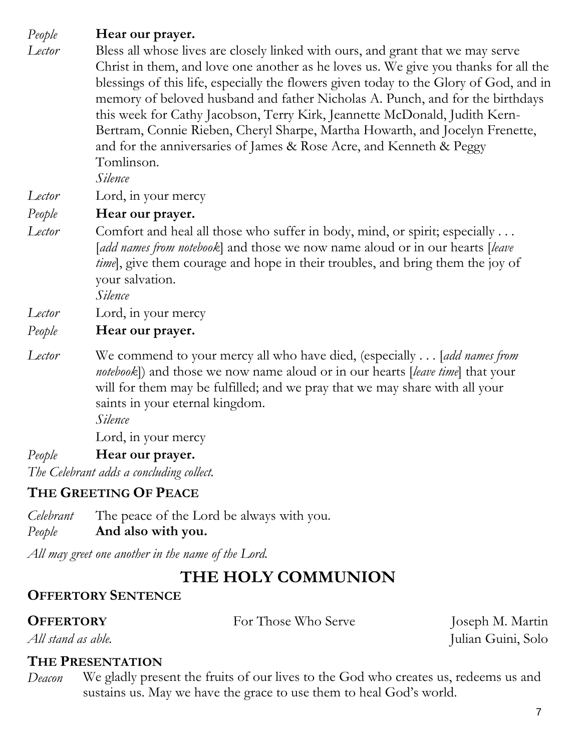### *People* **Hear our prayer.**

*Lector* Bless all whose lives are closely linked with ours, and grant that we may serve Christ in them, and love one another as he loves us. We give you thanks for all the blessings of this life, especially the flowers given today to the Glory of God, and in memory of beloved husband and father Nicholas A. Punch, and for the birthdays this week for Cathy Jacobson, Terry Kirk, Jeannette McDonald, Judith Kern-Bertram, Connie Rieben, Cheryl Sharpe, Martha Howarth, and Jocelyn Frenette, and for the anniversaries of James & Rose Acre, and Kenneth & Peggy Tomlinson.

*Silence*

*Lector* Lord, in your mercy

*People* **Hear our prayer.**

*Lector* Comfort and heal all those who suffer in body, mind, or spirit; especially ... [*add names from notebook*] and those we now name aloud or in our hearts [*leave time*, give them courage and hope in their troubles, and bring them the joy of your salvation.

*Silence*

- *Lector* Lord, in your mercy
- *People* **Hear our prayer.**
- *Lector* We commend to your mercy all who have died, (especially . . . [*add names from notebook*]) and those we now name aloud or in our hearts [*leave time*] that your will for them may be fulfilled; and we pray that we may share with all your saints in your eternal kingdom.

*Silence*

Lord, in your mercy

### *People* **Hear our prayer.**

*The Celebrant adds a concluding collect.* 

## **THE GREETING OF PEACE**

- *Celebrant* The peace of the Lord be always with you.
- *People* **And also with you.**

*All may greet one another in the name of the Lord.*

# **THE HOLY COMMUNION**

## **OFFERTORY SENTENCE**

**OFFERTORY** For Those Who Serve Joseph M. Martin *All stand as able.* For Those Who Serve Joseph M. Martin *All stand as able. All stand as able.* Julian Guini, Solo

### **THE PRESENTATION**

*Deacon* We gladly present the fruits of our lives to the God who creates us, redeems us and sustains us. May we have the grace to use them to heal God's world.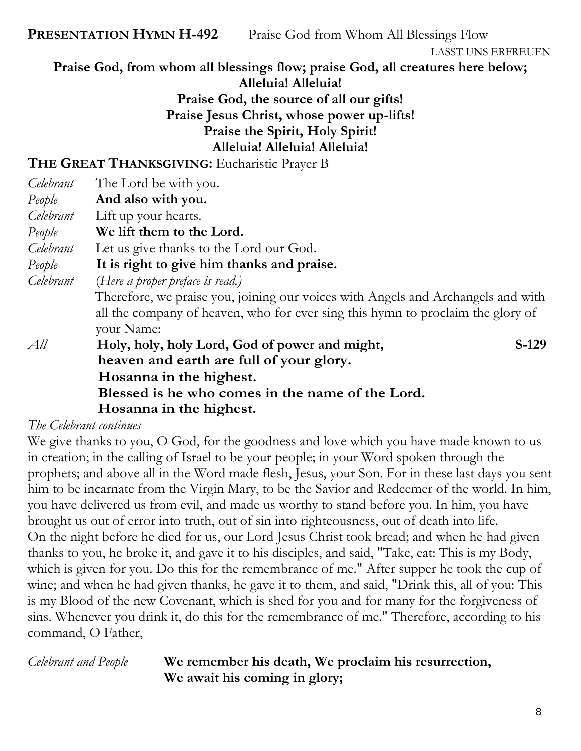**Praise God, from whom all blessings flow; praise God, all creatures here below;**

**Alleluia! Alleluia!** 

**Praise God, the source of all our gifts!**

**Praise Jesus Christ, whose power up-lifts!**

**Praise the Spirit, Holy Spirit!**

**Alleluia! Alleluia! Alleluia!**

**THE GREAT THANKSGIVING:** Eucharistic Prayer B

*Celebrant* The Lord be with you. *People* **And also with you.** *Celebrant* Lift up your hearts. *People* **We lift them to the Lord.** *Celebrant* Let us give thanks to the Lord our God. *People* **It is right to give him thanks and praise.** *Celebrant* (*Here a proper preface is read.)* Therefore, we praise you, joining our voices with Angels and Archangels and with all the company of heaven, who for ever sing this hymn to proclaim the glory of your Name: *All* **Holy, holy, holy Lord, God of power and might, S-129 heaven and earth are full of your glory. Hosanna in the highest. Blessed is he who comes in the name of the Lord. Hosanna in the highest.** 

### *The Celebrant continues*

We give thanks to you, O God, for the goodness and love which you have made known to us in creation; in the calling of Israel to be your people; in your Word spoken through the prophets; and above all in the Word made flesh, Jesus, your Son. For in these last days you sent him to be incarnate from the Virgin Mary, to be the Savior and Redeemer of the world. In him, you have delivered us from evil, and made us worthy to stand before you. In him, you have brought us out of error into truth, out of sin into righteousness, out of death into life. On the night before he died for us, our Lord Jesus Christ took bread; and when he had given thanks to you, he broke it, and gave it to his disciples, and said, "Take, eat: This is my Body, which is given for you. Do this for the remembrance of me." After supper he took the cup of wine; and when he had given thanks, he gave it to them, and said, "Drink this, all of you: This is my Blood of the new Covenant, which is shed for you and for many for the forgiveness of sins. Whenever you drink it, do this for the remembrance of me." Therefore, according to his command, O Father,

*Celebrant and People* **We remember his death, We proclaim his resurrection, We await his coming in glory;**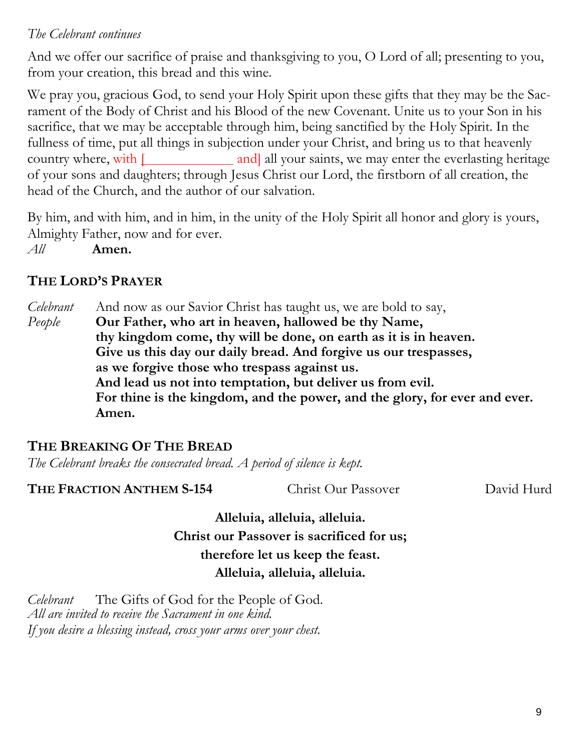#### *The Celebrant continues*

And we offer our sacrifice of praise and thanksgiving to you, O Lord of all; presenting to you, from your creation, this bread and this wine.

We pray you, gracious God, to send your Holy Spirit upon these gifts that they may be the Sacrament of the Body of Christ and his Blood of the new Covenant. Unite us to your Son in his sacrifice, that we may be acceptable through him, being sanctified by the Holy Spirit. In the fullness of time, put all things in subjection under your Christ, and bring us to that heavenly country where, with  $\lceil \cdot \cdot \rceil$  and all your saints, we may enter the everlasting heritage of your sons and daughters; through Jesus Christ our Lord, the firstborn of all creation, the head of the Church, and the author of our salvation.

By him, and with him, and in him, in the unity of the Holy Spirit all honor and glory is yours, Almighty Father, now and for ever.

*All* **Amen.** 

## **THE LORD'S PRAYER**

*Celebrant* And now as our Savior Christ has taught us, we are bold to say, *People* **Our Father, who art in heaven, hallowed be thy Name, thy kingdom come, thy will be done, on earth as it is in heaven. Give us this day our daily bread. And forgive us our trespasses, as we forgive those who trespass against us. And lead us not into temptation, but deliver us from evil. For thine is the kingdom, and the power, and the glory, for ever and ever. Amen.**

### **THE BREAKING OF THE BREAD**

*The Celebrant breaks the consecrated bread. A period of silence is kept.*

**THE FRACTION ANTHEM S-154** Christ Our Passover David Hurd

**Alleluia, alleluia, alleluia. Christ our Passover is sacrificed for us; therefore let us keep the feast. Alleluia, alleluia, alleluia.**

*Celebrant* The Gifts of God for the People of God. *All are invited to receive the Sacrament in one kind. If you desire a blessing instead, cross your arms over your chest.*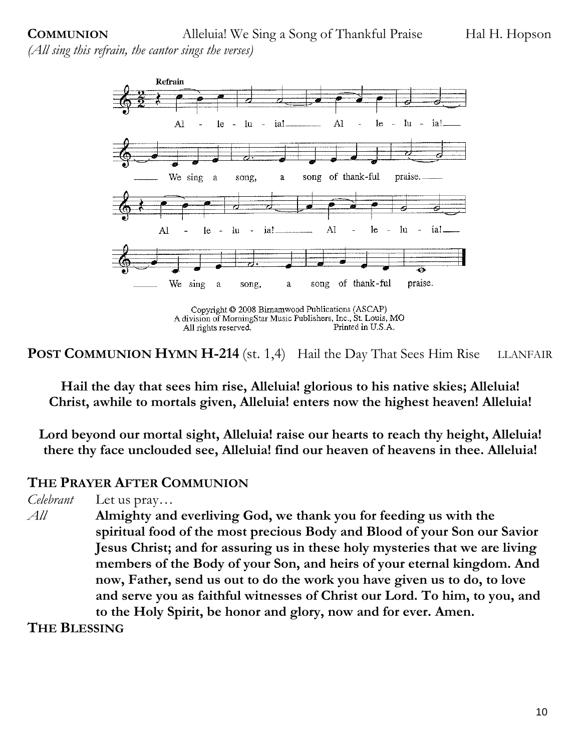#### **COMMUNION** Alleluia! We Sing a Song of Thankful Praise Hal H. Hopson

*(All sing this refrain, the cantor sings the verses)*



**POST COMMUNION HYMN H-214** (st. 1,4) Hail the Day That Sees Him Rise LLANFAIR

**Hail the day that sees him rise, Alleluia! glorious to his native skies; Alleluia! Christ, awhile to mortals given, Alleluia! enters now the highest heaven! Alleluia!**

**Lord beyond our mortal sight, Alleluia! raise our hearts to reach thy height, Alleluia! there thy face unclouded see, Alleluia! find our heaven of heavens in thee. Alleluia!**

#### **THE PRAYER AFTER COMMUNION**

*Celebrant* Let us pray…

*All* **Almighty and everliving God, we thank you for feeding us with the spiritual food of the most precious Body and Blood of your Son our Savior Jesus Christ; and for assuring us in these holy mysteries that we are living members of the Body of your Son, and heirs of your eternal kingdom. And now, Father, send us out to do the work you have given us to do, to love and serve you as faithful witnesses of Christ our Lord. To him, to you, and to the Holy Spirit, be honor and glory, now and for ever. Amen.**

**THE BLESSING**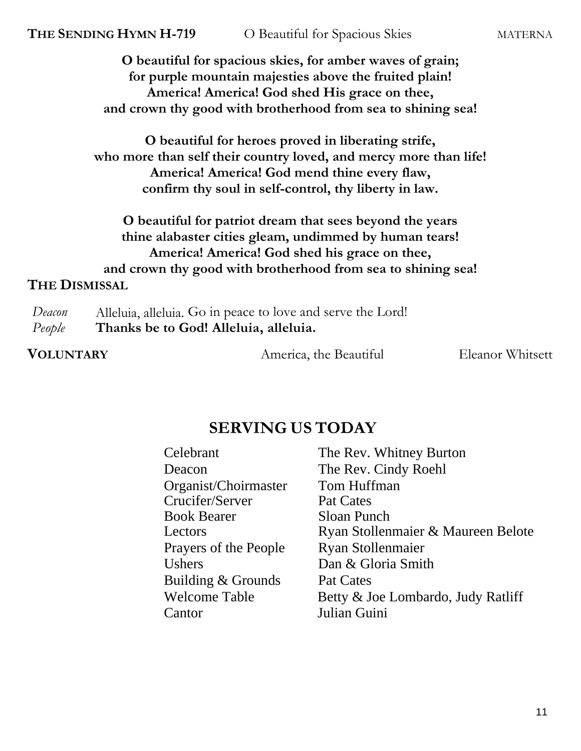**O beautiful for spacious skies, for amber waves of grain; for purple mountain majesties above the fruited plain! America! America! God shed His grace on thee, and crown thy good with brotherhood from sea to shining sea!**

**O beautiful for heroes proved in liberating strife, who more than self their country loved, and mercy more than life! America! America! God mend thine every flaw, confirm thy soul in self-control, thy liberty in law.**

**O beautiful for patriot dream that sees beyond the years thine alabaster cities gleam, undimmed by human tears! America! America! God shed his grace on thee, and crown thy good with brotherhood from sea to shining sea!**

#### **THE DISMISSAL**

*Deacon* Alleluia, alleluia. Go in peace to love and serve the Lord! *People* **Thanks be to God! Alleluia, alleluia.**

#### **VOLUNTARY**

America, the Beautiful Eleanor Whitsett

# **SERVING US TODAY**

Organist/Choirmaster Tom Huffman Crucifer/Server Pat Cates Book Bearer Sloan Punch Prayers of the People Ryan Stollenmaier Ushers Dan & Gloria Smith Building & Grounds Pat Cates Cantor Julian Guini

Celebrant The Rev. Whitney Burton Deacon The Rev. Cindy Roehl Lectors Ryan Stollenmaier & Maureen Belote Welcome Table Betty & Joe Lombardo, Judy Ratliff